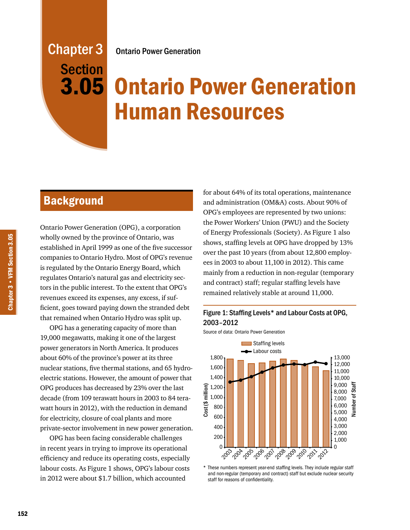# Ontario Power Generation

# Chapter 3 Section 3.05

# Ontario Power Generation Human Resources

# **Background**

Ontario Power Generation (OPG), a corporation wholly owned by the province of Ontario, was established in April 1999 as one of the five successor companies to Ontario Hydro. Most of OPG's revenue is regulated by the Ontario Energy Board, which regulates Ontario's natural gas and electricity sectors in the public interest. To the extent that OPG's revenues exceed its expenses, any excess, if sufficient, goes toward paying down the stranded debt that remained when Ontario Hydro was split up.

OPG has a generating capacity of more than 19,000 megawatts, making it one of the largest power generators in North America. It produces about 60% of the province's power at its three nuclear stations, five thermal stations, and 65 hydroelectric stations. However, the amount of power that OPG produces has decreased by 23% over the last decade (from 109 terawatt hours in 2003 to 84 terawatt hours in 2012), with the reduction in demand for electricity, closure of coal plants and more private-sector involvement in new power generation.

OPG has been facing considerable challenges in recent years in trying to improve its operational efficiency and reduce its operating costs, especially labour costs. As Figure 1 shows, OPG's labour costs in 2012 were about \$1.7 billion, which accounted

for about 64% of its total operations, maintenance and administration (OM&A) costs. About 90% of OPG's employees are represented by two unions: the Power Workers' Union (PWU) and the Society of Energy Professionals (Society). As Figure 1 also shows, staffing levels at OPG have dropped by 13% over the past 10 years (from about 12,800 employees in 2003 to about 11,100 in 2012). This came mainly from a reduction in non-regular (temporary and contract) staff; regular staffing levels have remained relatively stable at around 11,000.



Source of data: Ontario Power Generation



\* These numbers represent year-end staffing levels. They include regular staff and non-regular (temporary and contract) staff but exclude nuclear security staff for reasons of confidentiality.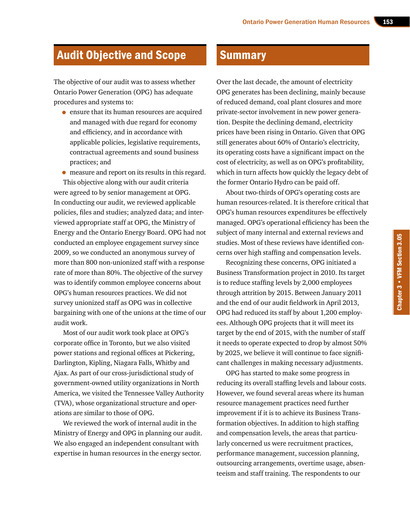# Audit Objective and Scope

The objective of our audit was to assess whether Ontario Power Generation (OPG) has adequate procedures and systems to:

• ensure that its human resources are acquired and managed with due regard for economy and efficiency, and in accordance with applicable policies, legislative requirements, contractual agreements and sound business practices; and

• measure and report on its results in this regard.

This objective along with our audit criteria were agreed to by senior management at OPG. In conducting our audit, we reviewed applicable policies, files and studies; analyzed data; and interviewed appropriate staff at OPG, the Ministry of Energy and the Ontario Energy Board. OPG had not conducted an employee engagement survey since 2009, so we conducted an anonymous survey of more than 800 non-unionized staff with a response rate of more than 80%. The objective of the survey was to identify common employee concerns about OPG's human resources practices. We did not survey unionized staff as OPG was in collective bargaining with one of the unions at the time of our audit work.

Most of our audit work took place at OPG's corporate office in Toronto, but we also visited power stations and regional offices at Pickering, Darlington, Kipling, Niagara Falls, Whitby and Ajax. As part of our cross-jurisdictional study of government-owned utility organizations in North America, we visited the Tennessee Valley Authority (TVA), whose organizational structure and operations are similar to those of OPG.

We reviewed the work of internal audit in the Ministry of Energy and OPG in planning our audit. We also engaged an independent consultant with expertise in human resources in the energy sector.

# **Summary**

Over the last decade, the amount of electricity OPG generates has been declining, mainly because of reduced demand, coal plant closures and more private-sector involvement in new power generation. Despite the declining demand, electricity prices have been rising in Ontario. Given that OPG still generates about 60% of Ontario's electricity, its operating costs have a significant impact on the cost of electricity, as well as on OPG's profitability, which in turn affects how quickly the legacy debt of the former Ontario Hydro can be paid off.

About two-thirds of OPG's operating costs are human resources-related. It is therefore critical that OPG's human resources expenditures be effectively managed. OPG's operational efficiency has been the subject of many internal and external reviews and studies. Most of these reviews have identified concerns over high staffing and compensation levels.

Recognizing these concerns, OPG initiated a Business Transformation project in 2010. Its target is to reduce staffing levels by 2,000 employees through attrition by 2015. Between January 2011 and the end of our audit fieldwork in April 2013, OPG had reduced its staff by about 1,200 employees. Although OPG projects that it will meet its target by the end of 2015, with the number of staff it needs to operate expected to drop by almost 50% by 2025, we believe it will continue to face significant challenges in making necessary adjustments.

OPG has started to make some progress in reducing its overall staffing levels and labour costs. However, we found several areas where its human resource management practices need further improvement if it is to achieve its Business Transformation objectives. In addition to high staffing and compensation levels, the areas that particularly concerned us were recruitment practices, performance management, succession planning, outsourcing arrangements, overtime usage, absenteeism and staff training. The respondents to our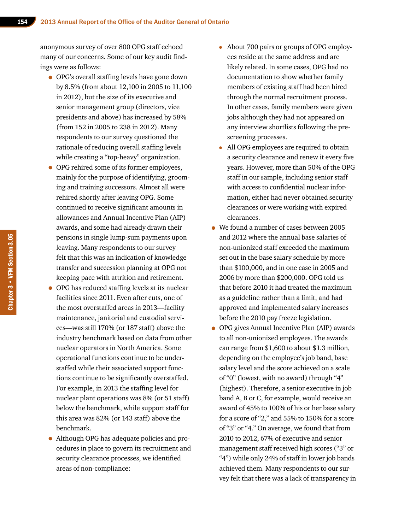anonymous survey of over 800 OPG staff echoed many of our concerns. Some of our key audit findings were as follows:

- OPG's overall staffing levels have gone down by 8.5% (from about 12,100 in 2005 to 11,100 in 2012), but the size of its executive and senior management group (directors, vice presidents and above) has increased by 58% (from 152 in 2005 to 238 in 2012). Many respondents to our survey questioned the rationale of reducing overall staffing levels while creating a "top-heavy" organization.
- OPG rehired some of its former employees, mainly for the purpose of identifying, grooming and training successors. Almost all were rehired shortly after leaving OPG. Some continued to receive significant amounts in allowances and Annual Incentive Plan (AIP) awards, and some had already drawn their pensions in single lump-sum payments upon leaving. Many respondents to our survey felt that this was an indication of knowledge transfer and succession planning at OPG not keeping pace with attrition and retirement.
- OPG has reduced staffing levels at its nuclear facilities since 2011. Even after cuts, one of the most overstaffed areas in 2013—facility maintenance, janitorial and custodial services—was still 170% (or 187 staff) above the industry benchmark based on data from other nuclear operators in North America. Some operational functions continue to be understaffed while their associated support functions continue to be significantly overstaffed. For example, in 2013 the staffing level for nuclear plant operations was 8% (or 51 staff) below the benchmark, while support staff for this area was 82% (or 143 staff) above the benchmark.
- Although OPG has adequate policies and procedures in place to govern its recruitment and security clearance processes, we identified areas of non-compliance:
- About 700 pairs or groups of OPG employees reside at the same address and are likely related. In some cases, OPG had no documentation to show whether family members of existing staff had been hired through the normal recruitment process. In other cases, family members were given jobs although they had not appeared on any interview shortlists following the prescreening processes.
- All OPG employees are required to obtain a security clearance and renew it every five years. However, more than 50% of the OPG staff in our sample, including senior staff with access to confidential nuclear information, either had never obtained security clearances or were working with expired clearances.
- We found a number of cases between 2005 and 2012 where the annual base salaries of non-unionized staff exceeded the maximum set out in the base salary schedule by more than \$100,000, and in one case in 2005 and 2006 by more than \$200,000. OPG told us that before 2010 it had treated the maximum as a guideline rather than a limit, and had approved and implemented salary increases before the 2010 pay freeze legislation.
- OPG gives Annual Incentive Plan (AIP) awards to all non-unionized employees. The awards can range from \$1,600 to about \$1.3 million, depending on the employee's job band, base salary level and the score achieved on a scale of "0" (lowest, with no award) through "4" (highest). Therefore, a senior executive in job band A, B or C, for example, would receive an award of 45% to 100% of his or her base salary for a score of "2," and 55% to 150% for a score of "3" or "4." On average, we found that from 2010 to 2012, 67% of executive and senior management staff received high scores ("3" or "4") while only 24% of staff in lower job bands achieved them. Many respondents to our survey felt that there was a lack of transparency in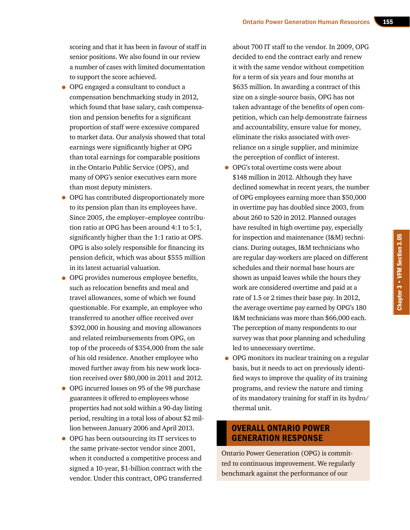scoring and that it has been in favour of staff in senior positions. We also found in our review a number of cases with limited documentation to support the score achieved.

- OPG engaged a consultant to conduct a compensation benchmarking study in 2012, which found that base salary, cash compensation and pension benefits for a significant proportion of staff were excessive compared to market data. Our analysis showed that total earnings were significantly higher at OPG than total earnings for comparable positions in the Ontario Public Service (OPS), and many of OPG's senior executives earn more than most deputy ministers.
- OPG has contributed disproportionately more to its pension plan than its employees have. Since 2005, the employer–employee contribution ratio at OPG has been around 4:1 to 5:1, significantly higher than the 1:1 ratio at OPS. OPG is also solely responsible for financing its pension deficit, which was about \$555 million in its latest actuarial valuation.
- OPG provides numerous employee benefits, such as relocation benefits and meal and travel allowances, some of which we found questionable. For example, an employee who transferred to another office received over \$392,000 in housing and moving allowances and related reimbursements from OPG, on top of the proceeds of \$354,000 from the sale of his old residence. Another employee who moved further away from his new work location received over \$80,000 in 2011 and 2012.
- OPG incurred losses on 95 of the 98 purchase guarantees it offered to employees whose properties had not sold within a 90-day listing period, resulting in a total loss of about \$2 million between January 2006 and April 2013.
- OPG has been outsourcing its IT services to the same private-sector vendor since 2001, when it conducted a competitive process and signed a 10-year, \$1‑billion contract with the vendor. Under this contract, OPG transferred

about 700 IT staff to the vendor. In 2009, OPG decided to end the contract early and renew it with the same vendor without competition for a term of six years and four months at \$635 million. In awarding a contract of this size on a single-source basis, OPG has not taken advantage of the benefits of open competition, which can help demonstrate fairness and accountability, ensure value for money, eliminate the risks associated with overreliance on a single supplier, and minimize the perception of conflict of interest.

- OPG's total overtime costs were about \$148 million in 2012. Although they have declined somewhat in recent years, the number of OPG employees earning more than \$50,000 in overtime pay has doubled since 2003, from about 260 to 520 in 2012. Planned outages have resulted in high overtime pay, especially for inspection and maintenance (I&M) technicians. During outages, I&M technicians who are regular day-workers are placed on different schedules and their normal base hours are shown as unpaid leaves while the hours they work are considered overtime and paid at a rate of 1.5 or 2 times their base pay. In 2012, the average overtime pay earned by OPG's 180 I&M technicians was more than \$66,000 each. The perception of many respondents to our survey was that poor planning and scheduling led to unnecessary overtime.
- OPG monitors its nuclear training on a regular basis, but it needs to act on previously identified ways to improve the quality of its training programs, and review the nature and timing of its mandatory training for staff in its hydro/ thermal unit.

# OVERALL ONTARIO POWER GENERATION RESPONSE

Ontario Power Generation (OPG) is committed to continuous improvement. We regularly benchmark against the performance of our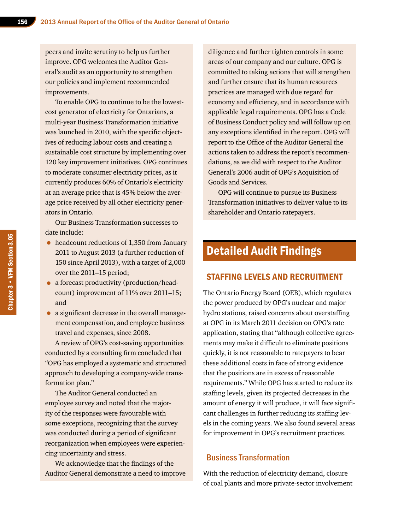peers and invite scrutiny to help us further improve. OPG welcomes the Auditor General's audit as an opportunity to strengthen our policies and implement recommended improvements.

To enable OPG to continue to be the lowestcost generator of electricity for Ontarians, a multi-year Business Transformation initiative was launched in 2010, with the specific objectives of reducing labour costs and creating a sustainable cost structure by implementing over 120 key improvement initiatives. OPG continues to moderate consumer electricity prices, as it currently produces 60% of Ontario's electricity at an average price that is 45% below the average price received by all other electricity generators in Ontario.

Our Business Transformation successes to date include:

- headcount reductions of 1,350 from January 2011 to August 2013 (a further reduction of 150 since April 2013), with a target of 2,000 over the 2011–15 period;
- a forecast productivity (production/headcount) improvement of 11% over 2011–15; and
- a significant decrease in the overall management compensation, and employee business travel and expenses, since 2008.

A review of OPG's cost-saving opportunities conducted by a consulting firm concluded that "OPG has employed a systematic and structured approach to developing a company-wide transformation plan."

The Auditor General conducted an employee survey and noted that the majority of the responses were favourable with some exceptions, recognizing that the survey was conducted during a period of significant reorganization when employees were experiencing uncertainty and stress.

We acknowledge that the findings of the Auditor General demonstrate a need to improve

diligence and further tighten controls in some areas of our company and our culture. OPG is committed to taking actions that will strengthen and further ensure that its human resources practices are managed with due regard for economy and efficiency, and in accordance with applicable legal requirements. OPG has a Code of Business Conduct policy and will follow up on any exceptions identified in the report. OPG will report to the Office of the Auditor General the actions taken to address the report's recommendations, as we did with respect to the Auditor General's 2006 audit of OPG's Acquisition of Goods and Services.

OPG will continue to pursue its Business Transformation initiatives to deliver value to its shareholder and Ontario ratepayers.

# Detailed Audit Findings

# STAFFING LEVELS AND RECRUITMENT

The Ontario Energy Board (OEB), which regulates the power produced by OPG's nuclear and major hydro stations, raised concerns about overstaffing at OPG in its March 2011 decision on OPG's rate application, stating that "although collective agreements may make it difficult to eliminate positions quickly, it is not reasonable to ratepayers to bear these additional costs in face of strong evidence that the positions are in excess of reasonable requirements." While OPG has started to reduce its staffing levels, given its projected decreases in the amount of energy it will produce, it will face significant challenges in further reducing its staffing levels in the coming years. We also found several areas for improvement in OPG's recruitment practices.

# Business Transformation

With the reduction of electricity demand, closure of coal plants and more private-sector involvement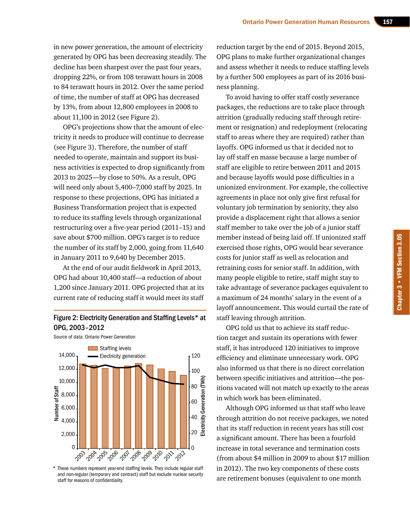in new power generation, the amount of electricity generated by OPG has been decreasing steadily. The decline has been sharpest over the past four years, dropping 22%, or from 108 terawatt hours in 2008 to 84 terawatt hours in 2012. Over the same period of time, the number of staff at OPG has decreased by 13%, from about 12,800 employees in 2008 to about 11,100 in 2012 (see Figure 2).

OPG's projections show that the amount of electricity it needs to produce will continue to decrease (see Figure 3). Therefore, the number of staff needed to operate, maintain and support its business activities is expected to drop significantly from 2013 to 2025—by close to 50%. As a result, OPG will need only about 5,400–7,000 staff by 2025. In response to these projections, OPG has initiated a Business Transformation project that is expected to reduce its staffing levels through organizational restructuring over a five-year period (2011–15) and save about \$700 million. OPG's target is to reduce the number of its staff by 2,000, going from 11,640 in January 2011 to 9,640 by December 2015.

At the end of our audit fieldwork in April 2013, OPG had about 10,400 staff—a reduction of about 1,200 since January 2011. OPG projected that at its current rate of reducing staff it would meet its staff

### Figure 2: Electricity Generation and Staffing Levels\* at OPG, 2003–2012



\* These numbers represent year-end staffing levels. They include regular staff and non-regular (temporary and contract) staff but exclude nuclear security staff for reasons of confidentiality.

reduction target by the end of 2015. Beyond 2015, OPG plans to make further organizational changes and assess whether it needs to reduce staffing levels by a further 500 employees as part of its 2016 business planning.

To avoid having to offer staff costly severance packages, the reductions are to take place through attrition (gradually reducing staff through retirement or resignation) and redeployment (relocating staff to areas where they are required) rather than layoffs. OPG informed us that it decided not to lay off staff en masse because a large number of staff are eligible to retire between 2011 and 2015 and because layoffs would pose difficulties in a unionized environment. For example, the collective agreements in place not only give first refusal for voluntary job termination by seniority, they also provide a displacement right that allows a senior staff member to take over the job of a junior staff member instead of being laid off. If unionized staff exercised those rights, OPG would bear severance costs for junior staff as well as relocation and retraining costs for senior staff. In addition, with many people eligible to retire, staff might stay to take advantage of severance packages equivalent to a maximum of 24 months' salary in the event of a layoff announcement. This would curtail the rate of staff leaving through attrition.

OPG told us that to achieve its staff reduction target and sustain its operations with fewer staff, it has introduced 120 initiatives to improve efficiency and eliminate unnecessary work. OPG also informed us that there is no direct correlation between specific initiatives and attrition—the positions vacated will not match up exactly to the areas in which work has been eliminated.

Although OPG informed us that staff who leave through attrition do not receive packages, we noted that its staff reduction in recent years has still cost a significant amount. There has been a fourfold increase in total severance and termination costs (from about \$4 million in 2009 to about \$17 million in 2012). The two key components of these costs are retirement bonuses (equivalent to one month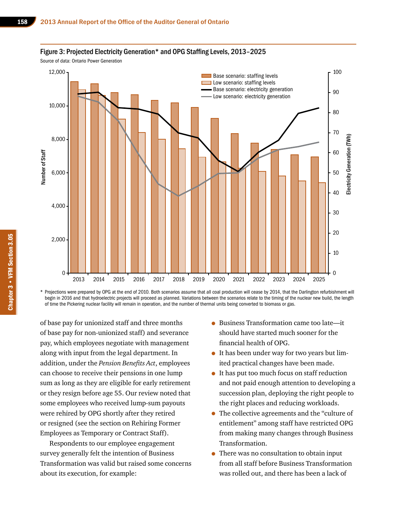#### Figure 3: Projected Electricity Generation\* and OPG Staffing Levels, 2013–2025

Source of data: Ontario Power Generation



\* Projections were prepared by OPG at the end of 2010. Both scenarios assume that all coal production will cease by 2014, that the Darlington refurbishment will begin in 2016 and that hydroelectric projects will proceed as planned. Variations between the scenarios relate to the timing of the nuclear new build, the length of time the Pickering nuclear facility will remain in operation, and the number of thermal units being converted to biomass or gas.

of base pay for unionized staff and three months of base pay for non-unionized staff) and severance pay, which employees negotiate with management along with input from the legal department. In addition, under the *Pension Benefits Act*, employees can choose to receive their pensions in one lump sum as long as they are eligible for early retirement or they resign before age 55. Our review noted that some employees who received lump-sum payouts were rehired by OPG shortly after they retired or resigned (see the section on Rehiring Former Employees as Temporary or Contract Staff).

Respondents to our employee engagement survey generally felt the intention of Business Transformation was valid but raised some concerns about its execution, for example:

- Business Transformation came too late—it should have started much sooner for the financial health of OPG.
- It has been under way for two years but limited practical changes have been made.
- It has put too much focus on staff reduction and not paid enough attention to developing a succession plan, deploying the right people to the right places and reducing workloads.
- The collective agreements and the "culture of entitlement" among staff have restricted OPG from making many changes through Business Transformation.
- There was no consultation to obtain input from all staff before Business Transformation was rolled out, and there has been a lack of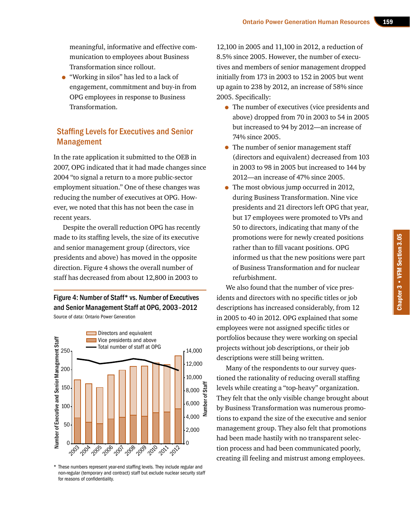meaningful, informative and effective communication to employees about Business Transformation since rollout.

• "Working in silos" has led to a lack of engagement, commitment and buy-in from OPG employees in response to Business Transformation.

# Staffing Levels for Executives and Senior Management

In the rate application it submitted to the OEB in 2007, OPG indicated that it had made changes since 2004 "to signal a return to a more public-sector employment situation." One of these changes was reducing the number of executives at OPG. However, we noted that this has not been the case in recent years.

Despite the overall reduction OPG has recently made to its staffing levels, the size of its executive and senior management group (directors, vice presidents and above) has moved in the opposite direction. Figure 4 shows the overall number of staff has decreased from about 12,800 in 2003 to

Figure 4: Number of Staff\* vs. Number of Executives and Senior Management Staff at OPG, 2003–2012 Source of data: Ontario Power Generation



\* These numbers represent year-end staffing levels. They include regular and non-regular (temporary and contract) staff but exclude nuclear security staff for reasons of confidentiality.

12,100 in 2005 and 11,100 in 2012, a reduction of 8.5% since 2005. However, the number of executives and members of senior management dropped initially from 173 in 2003 to 152 in 2005 but went up again to 238 by 2012, an increase of 58% since 2005. Specifically:

- The number of executives (vice presidents and above) dropped from 70 in 2003 to 54 in 2005 but increased to 94 by 2012—an increase of 74% since 2005.
- The number of senior management staff (directors and equivalent) decreased from 103 in 2003 to 98 in 2005 but increased to 144 by 2012—an increase of 47% since 2005.
- The most obvious jump occurred in 2012, during Business Transformation. Nine vice presidents and 21 directors left OPG that year, but 17 employees were promoted to VPs and 50 to directors, indicating that many of the promotions were for newly created positions rather than to fill vacant positions. OPG informed us that the new positions were part of Business Transformation and for nuclear refurbishment.

We also found that the number of vice presidents and directors with no specific titles or job descriptions has increased considerably, from 12 in 2005 to 40 in 2012. OPG explained that some employees were not assigned specific titles or portfolios because they were working on special projects without job descriptions, or their job descriptions were still being written.

Many of the respondents to our survey questioned the rationality of reducing overall staffing levels while creating a "top-heavy" organization. They felt that the only visible change brought about by Business Transformation was numerous promotions to expand the size of the executive and senior management group. They also felt that promotions had been made hastily with no transparent selection process and had been communicated poorly, creating ill feeling and mistrust among employees.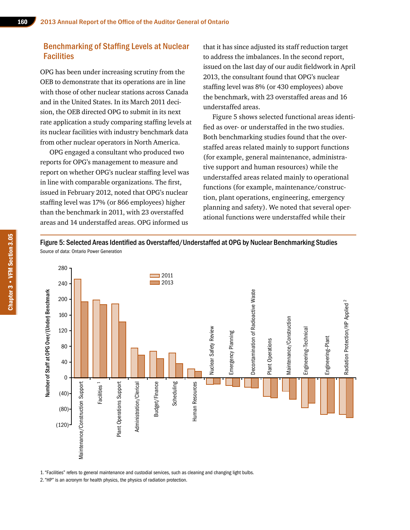# Benchmarking of Staffing Levels at Nuclear **Facilities**

OPG has been under increasing scrutiny from the OEB to demonstrate that its operations are in line with those of other nuclear stations across Canada and in the United States. In its March 2011 decision, the OEB directed OPG to submit in its next rate application a study comparing staffing levels at its nuclear facilities with industry benchmark data from other nuclear operators in North America.

OPG engaged a consultant who produced two reports for OPG's management to measure and report on whether OPG's nuclear staffing level was in line with comparable organizations. The first, issued in February 2012, noted that OPG's nuclear staffing level was 17% (or 866 employees) higher than the benchmark in 2011, with 23 overstaffed areas and 14 understaffed areas. OPG informed us

that it has since adjusted its staff reduction target to address the imbalances. In the second report, issued on the last day of our audit fieldwork in April 2013, the consultant found that OPG's nuclear staffing level was 8% (or 430 employees) above the benchmark, with 23 overstaffed areas and 16 understaffed areas.

Figure 5 shows selected functional areas identified as over- or understaffed in the two studies. Both benchmarking studies found that the overstaffed areas related mainly to support functions (for example, general maintenance, administrative support and human resources) while the understaffed areas related mainly to operational functions (for example, maintenance/construction, plant operations, engineering, emergency planning and safety). We noted that several operational functions were understaffed while their

Figure 5: Selected Areas Identified as Overstaffed/Understaffed at OPG by Nuclear Benchmarking Studies Source of data: Ontario Power Generation



1. "Facilities" refers to general maintenance and custodial services, such as cleaning and changing light bulbs.

2. "HP" is an acronym for health physics, the physics of radiation protection.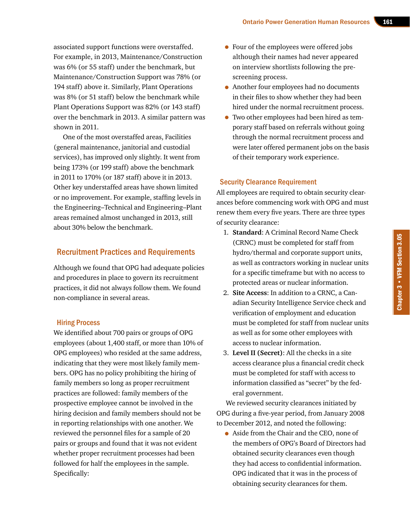associated support functions were overstaffed. For example, in 2013, Maintenance/Construction was 6% (or 55 staff) under the benchmark, but Maintenance/Construction Support was 78% (or 194 staff) above it. Similarly, Plant Operations was 8% (or 51 staff) below the benchmark while Plant Operations Support was 82% (or 143 staff) over the benchmark in 2013. A similar pattern was shown in 2011.

One of the most overstaffed areas, Facilities (general maintenance, janitorial and custodial services), has improved only slightly. It went from being 173% (or 199 staff) above the benchmark in 2011 to 170% (or 187 staff) above it in 2013. Other key understaffed areas have shown limited or no improvement. For example, staffing levels in the Engineering–Technical and Engineering–Plant areas remained almost unchanged in 2013, still about 30% below the benchmark.

#### Recruitment Practices and Requirements

Although we found that OPG had adequate policies and procedures in place to govern its recruitment practices, it did not always follow them. We found non-compliance in several areas.

#### Hiring Process

We identified about 700 pairs or groups of OPG employees (about 1,400 staff, or more than 10% of OPG employees) who resided at the same address, indicating that they were most likely family members. OPG has no policy prohibiting the hiring of family members so long as proper recruitment practices are followed: family members of the prospective employee cannot be involved in the hiring decision and family members should not be in reporting relationships with one another. We reviewed the personnel files for a sample of 20 pairs or groups and found that it was not evident whether proper recruitment processes had been followed for half the employees in the sample. Specifically:

- Four of the employees were offered jobs although their names had never appeared on interview shortlists following the prescreening process.
- Another four employees had no documents in their files to show whether they had been hired under the normal recruitment process.
- Two other employees had been hired as temporary staff based on referrals without going through the normal recruitment process and were later offered permanent jobs on the basis of their temporary work experience.

#### Security Clearance Requirement

All employees are required to obtain security clearances before commencing work with OPG and must renew them every five years. There are three types of security clearance:

- 1. **Standard**: A Criminal Record Name Check (CRNC) must be completed for staff from hydro/thermal and corporate support units, as well as contractors working in nuclear units for a specific timeframe but with no access to protected areas or nuclear information.
- 2. **Site Access**: In addition to a CRNC, a Canadian Security Intelligence Service check and verification of employment and education must be completed for staff from nuclear units as well as for some other employees with access to nuclear information.
- 3. **Level II (Secret)**: All the checks in a site access clearance plus a financial credit check must be completed for staff with access to information classified as "secret" by the federal government.

We reviewed security clearances initiated by OPG during a five-year period, from January 2008 to December 2012, and noted the following:

• Aside from the Chair and the CEO, none of the members of OPG's Board of Directors had obtained security clearances even though they had access to confidential information. OPG indicated that it was in the process of obtaining security clearances for them.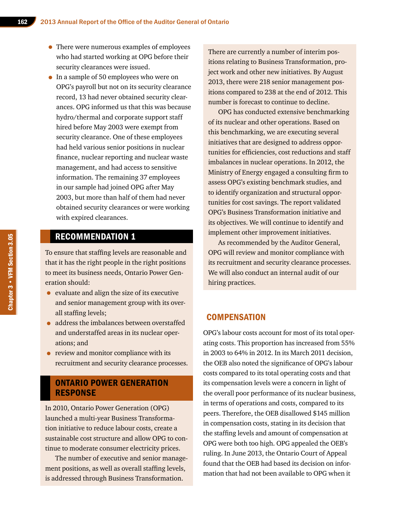- There were numerous examples of employees who had started working at OPG before their security clearances were issued.
- In a sample of 50 employees who were on OPG's payroll but not on its security clearance record, 13 had never obtained security clearances. OPG informed us that this was because hydro/thermal and corporate support staff hired before May 2003 were exempt from security clearance. One of these employees had held various senior positions in nuclear finance, nuclear reporting and nuclear waste management, and had access to sensitive information. The remaining 37 employees in our sample had joined OPG after May 2003, but more than half of them had never obtained security clearances or were working with expired clearances.

# RECOMMENDATION 1

To ensure that staffing levels are reasonable and that it has the right people in the right positions to meet its business needs, Ontario Power Generation should:

- evaluate and align the size of its executive and senior management group with its overall staffing levels;
- address the imbalances between overstaffed and understaffed areas in its nuclear operations; and
- review and monitor compliance with its recruitment and security clearance processes.

# ONTARIO POWER GENERATION RESPONSE

In 2010, Ontario Power Generation (OPG) launched a multi-year Business Transformation initiative to reduce labour costs, create a sustainable cost structure and allow OPG to continue to moderate consumer electricity prices.

The number of executive and senior management positions, as well as overall staffing levels, is addressed through Business Transformation.

There are currently a number of interim positions relating to Business Transformation, project work and other new initiatives. By August 2013, there were 218 senior management positions compared to 238 at the end of 2012. This number is forecast to continue to decline.

OPG has conducted extensive benchmarking of its nuclear and other operations. Based on this benchmarking, we are executing several initiatives that are designed to address opportunities for efficiencies, cost reductions and staff imbalances in nuclear operations. In 2012, the Ministry of Energy engaged a consulting firm to assess OPG's existing benchmark studies, and to identify organization and structural opportunities for cost savings. The report validated OPG's Business Transformation initiative and its objectives. We will continue to identify and implement other improvement initiatives.

As recommended by the Auditor General, OPG will review and monitor compliance with its recruitment and security clearance processes. We will also conduct an internal audit of our hiring practices.

## **COMPENSATION**

OPG's labour costs account for most of its total operating costs. This proportion has increased from 55% in 2003 to 64% in 2012. In its March 2011 decision, the OEB also noted the significance of OPG's labour costs compared to its total operating costs and that its compensation levels were a concern in light of the overall poor performance of its nuclear business, in terms of operations and costs, compared to its peers. Therefore, the OEB disallowed \$145 million in compensation costs, stating in its decision that the staffing levels and amount of compensation at OPG were both too high. OPG appealed the OEB's ruling. In June 2013, the Ontario Court of Appeal found that the OEB had based its decision on information that had not been available to OPG when it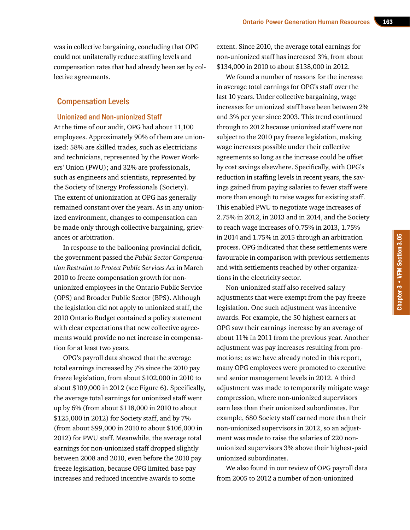was in collective bargaining, concluding that OPG could not unilaterally reduce staffing levels and compensation rates that had already been set by collective agreements.

#### Compensation Levels

#### Unionized and Non-unionized Staff

At the time of our audit, OPG had about 11,100 employees. Approximately 90% of them are unionized: 58% are skilled trades, such as electricians and technicians, represented by the Power Workers' Union (PWU); and 32% are professionals, such as engineers and scientists, represented by the Society of Energy Professionals (Society). The extent of unionization at OPG has generally remained constant over the years. As in any unionized environment, changes to compensation can be made only through collective bargaining, grievances or arbitration.

In response to the ballooning provincial deficit, the government passed the *Public Sector Compensation Restraint to Protect Public Services Act* in March 2010 to freeze compensation growth for nonunionized employees in the Ontario Public Service (OPS) and Broader Public Sector (BPS). Although the legislation did not apply to unionized staff, the 2010 Ontario Budget contained a policy statement with clear expectations that new collective agreements would provide no net increase in compensation for at least two years.

OPG's payroll data showed that the average total earnings increased by 7% since the 2010 pay freeze legislation, from about \$102,000 in 2010 to about \$109,000 in 2012 (see Figure 6). Specifically, the average total earnings for unionized staff went up by 6% (from about \$118,000 in 2010 to about \$125,000 in 2012) for Society staff, and by 7% (from about \$99,000 in 2010 to about \$106,000 in 2012) for PWU staff. Meanwhile, the average total earnings for non-unionized staff dropped slightly between 2008 and 2010, even before the 2010 pay freeze legislation, because OPG limited base pay increases and reduced incentive awards to some

extent. Since 2010, the average total earnings for non-unionized staff has increased 3%, from about \$134,000 in 2010 to about \$138,000 in 2012.

We found a number of reasons for the increase in average total earnings for OPG's staff over the last 10 years. Under collective bargaining, wage increases for unionized staff have been between 2% and 3% per year since 2003. This trend continued through to 2012 because unionized staff were not subject to the 2010 pay freeze legislation, making wage increases possible under their collective agreements so long as the increase could be offset by cost savings elsewhere. Specifically, with OPG's reduction in staffing levels in recent years, the savings gained from paying salaries to fewer staff were more than enough to raise wages for existing staff. This enabled PWU to negotiate wage increases of 2.75% in 2012, in 2013 and in 2014, and the Society to reach wage increases of 0.75% in 2013, 1.75% in 2014 and 1.75% in 2015 through an arbitration process. OPG indicated that these settlements were favourable in comparison with previous settlements and with settlements reached by other organizations in the electricity sector.

Non-unionized staff also received salary adjustments that were exempt from the pay freeze legislation. One such adjustment was incentive awards. For example, the 50 highest earners at OPG saw their earnings increase by an average of about 11% in 2011 from the previous year. Another adjustment was pay increases resulting from promotions; as we have already noted in this report, many OPG employees were promoted to executive and senior management levels in 2012. A third adjustment was made to temporarily mitigate wage compression, where non-unionized supervisors earn less than their unionized subordinates. For example, 680 Society staff earned more than their non-unionized supervisors in 2012, so an adjustment was made to raise the salaries of 220 nonunionized supervisors 3% above their highest-paid unionized subordinates.

We also found in our review of OPG payroll data from 2005 to 2012 a number of non-unionized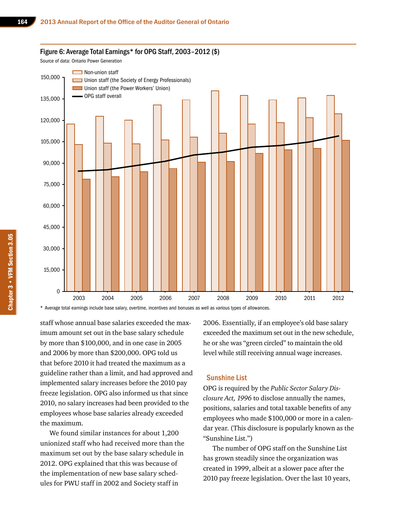#### Figure 6: Average Total Earnings\* for OPG Staff, 2003–2012 (\$)

Source of data: Ontario Power Generation



\* Average total earnings include base salary, overtime, incentives and bonuses as well as various types of allowances.

staff whose annual base salaries exceeded the maximum amount set out in the base salary schedule by more than \$100,000, and in one case in 2005 and 2006 by more than \$200,000. OPG told us that before 2010 it had treated the maximum as a guideline rather than a limit, and had approved and implemented salary increases before the 2010 pay freeze legislation. OPG also informed us that since 2010, no salary increases had been provided to the employees whose base salaries already exceeded the maximum.

We found similar instances for about 1,200 unionized staff who had received more than the maximum set out by the base salary schedule in 2012. OPG explained that this was because of the implementation of new base salary schedules for PWU staff in 2002 and Society staff in

2006. Essentially, if an employee's old base salary exceeded the maximum set out in the new schedule, he or she was "green circled" to maintain the old level while still receiving annual wage increases.

#### Sunshine List

OPG is required by the *Public Sector Salary Disclosure Act, 1996* to disclose annually the names, positions, salaries and total taxable benefits of any employees who made \$100,000 or more in a calendar year. (This disclosure is popularly known as the "Sunshine List.")

The number of OPG staff on the Sunshine List has grown steadily since the organization was created in 1999, albeit at a slower pace after the 2010 pay freeze legislation. Over the last 10 years,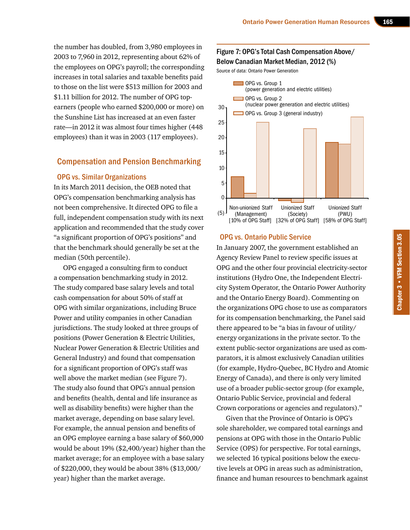the number has doubled, from 3,980 employees in 2003 to 7,960 in 2012, representing about 62% of the employees on OPG's payroll; the corresponding increases in total salaries and taxable benefits paid to those on the list were \$513 million for 2003 and \$1.11 billion for 2012. The number of OPG topearners (people who earned \$200,000 or more) on the Sunshine List has increased at an even faster rate—in 2012 it was almost four times higher (448 employees) than it was in 2003 (117 employees).

### Compensation and Pension Benchmarking

#### OPG vs. Similar Organizations

In its March 2011 decision, the OEB noted that OPG's compensation benchmarking analysis has not been comprehensive. It directed OPG to file a full, independent compensation study with its next application and recommended that the study cover "a significant proportion of OPG's positions" and that the benchmark should generally be set at the median (50th percentile).

OPG engaged a consulting firm to conduct a compensation benchmarking study in 2012. The study compared base salary levels and total cash compensation for about 50% of staff at OPG with similar organizations, including Bruce Power and utility companies in other Canadian jurisdictions. The study looked at three groups of positions (Power Generation & Electric Utilities, Nuclear Power Generation & Electric Utilities and General Industry) and found that compensation for a significant proportion of OPG's staff was well above the market median (see Figure 7). The study also found that OPG's annual pension and benefits (health, dental and life insurance as well as disability benefits) were higher than the market average, depending on base salary level. For example, the annual pension and benefits of an OPG employee earning a base salary of \$60,000 would be about 19% (\$2,400/year) higher than the market average; for an employee with a base salary of \$220,000, they would be about 38% (\$13,000/ year) higher than the market average.

#### Figure 7: OPG's Total Cash Compensation Above/ Below Canadian Market Median, 2012 (%)

Source of data: Ontario Power Generation



#### OPG vs. Ontario Public Service

In January 2007, the government established an Agency Review Panel to review specific issues at OPG and the other four provincial electricity-sector institutions (Hydro One, the Independent Electricity System Operator, the Ontario Power Authority and the Ontario Energy Board). Commenting on the organizations OPG chose to use as comparators for its compensation benchmarking, the Panel said there appeared to be "a bias in favour of utility/ energy organizations in the private sector. To the extent public-sector organizations are used as comparators, it is almost exclusively Canadian utilities (for example, Hydro-Quebec, BC Hydro and Atomic Energy of Canada), and there is only very limited use of a broader public-sector group (for example, Ontario Public Service, provincial and federal Crown corporations or agencies and regulators)."

Given that the Province of Ontario is OPG's sole shareholder, we compared total earnings and pensions at OPG with those in the Ontario Public Service (OPS) for perspective. For total earnings, we selected 16 typical positions below the executive levels at OPG in areas such as administration, finance and human resources to benchmark against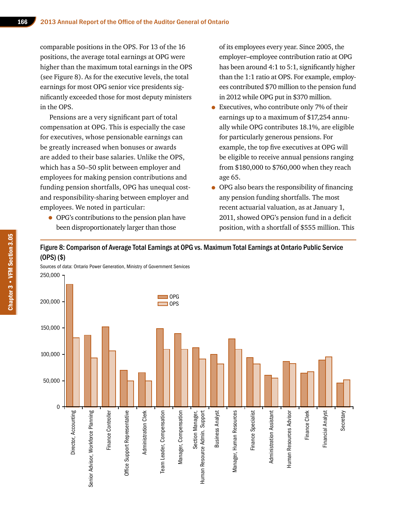comparable positions in the OPS. For 13 of the 16 positions, the average total earnings at OPG were higher than the maximum total earnings in the OPS (see Figure 8). As for the executive levels, the total earnings for most OPG senior vice presidents significantly exceeded those for most deputy ministers in the OPS.

Pensions are a very significant part of total compensation at OPG. This is especially the case for executives, whose pensionable earnings can be greatly increased when bonuses or awards are added to their base salaries. Unlike the OPS, which has a 50–50 split between employer and employees for making pension contributions and funding pension shortfalls, OPG has unequal costand responsibility-sharing between employer and employees. We noted in particular:

• OPG's contributions to the pension plan have been disproportionately larger than those

of its employees every year. Since 2005, the employer–employee contribution ratio at OPG has been around 4:1 to 5:1, significantly higher than the 1:1 ratio at OPS. For example, employees contributed \$70 million to the pension fund in 2012 while OPG put in \$370 million.

- Executives, who contribute only 7% of their earnings up to a maximum of \$17,254 annually while OPG contributes 18.1%, are eligible for particularly generous pensions. For example, the top five executives at OPG will be eligible to receive annual pensions ranging from \$180,000 to \$760,000 when they reach age 65.
- OPG also bears the responsibility of financing any pension funding shortfalls. The most recent actuarial valuation, as at January 1, 2011, showed OPG's pension fund in a deficit position, with a shortfall of \$555 million. This

Figure 8: Comparison of Average Total Earnings at OPG vs. Maximum Total Earnings at Ontario Public Service (OPS) (\$)

Sources of data: Ontario Power Generation, Ministry of Government Services 250,000

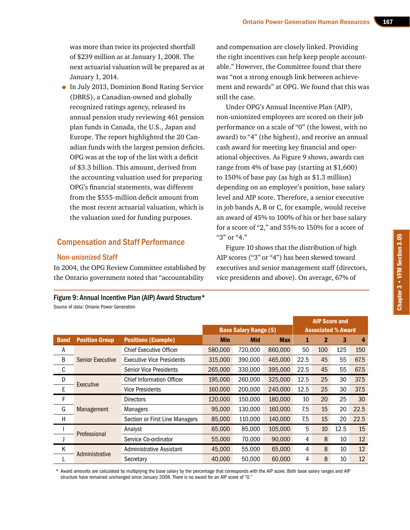was more than twice its projected shortfall of \$239 million as at January 1, 2008. The next actuarial valuation will be prepared as at January 1, 2014.

• In July 2013, Dominion Bond Rating Service (DBRS), a Canadian-owned and globally recognized ratings agency, released its annual pension study reviewing 461 pension plan funds in Canada, the U.S., Japan and Europe. The report highlighted the 20 Canadian funds with the largest pension deficits. OPG was at the top of the list with a deficit of \$3.3 billion. This amount, derived from the accounting valuation used for preparing OPG's financial statements, was different from the \$555-million deficit amount from the most recent actuarial valuation, which is the valuation used for funding purposes.

### Compensation and Staff Performance

#### Non-unionized Staff

In 2004, the OPG Review Committee established by the Ontario government noted that "accountability

# Figure 9: Annual Incentive Plan (AIP) Award Structure\*

Source of data: Ontario Power Generation

and compensation are closely linked. Providing the right incentives can help keep people accountable." However, the Committee found that there was "not a strong enough link between achievement and rewards" at OPG. We found that this was still the case.

Under OPG's Annual Incentive Plan (AIP), non-unionized employees are scored on their job performance on a scale of "0" (the lowest, with no award) to "4" (the highest), and receive an annual cash award for meeting key financial and operational objectives. As Figure 9 shows, awards can range from 4% of base pay (starting at \$1,600) to 150% of base pay (as high as \$1.3 million) depending on an employee's position, base salary level and AIP score. Therefore, a senior executive in job bands A, B or C, for example, would receive an award of 45% to 100% of his or her base salary for a score of "2," and 55% to 150% for a score of "3" or "4."

Figure 10 shows that the distribution of high AIP scores ("3" or "4") has been skewed toward executives and senior management staff (directors, vice presidents and above). On average, 67% of

|             |                         |                                  |            |                               |            | <b>AIP Score and</b>      |              |      |      |
|-------------|-------------------------|----------------------------------|------------|-------------------------------|------------|---------------------------|--------------|------|------|
|             |                         |                                  |            | <b>Base Salary Range (\$)</b> |            | <b>Associated % Award</b> |              |      |      |
| <b>Band</b> | <b>Position Group</b>   | <b>Positions (Example)</b>       | <b>Min</b> | <b>Mid</b>                    | <b>Max</b> | 1                         | $\mathbf{2}$ | 3    | 4    |
| Α           | <b>Senior Executive</b> | <b>Chief Executive Officer</b>   | 580,000    | 720,000                       | 860,000    | 50                        | 100          | 125  | 150  |
| B           |                         | <b>Executive Vice Presidents</b> | 315,000    | 390,000                       | 465,000    | 22.5                      | 45           | 55   | 67.5 |
| С           |                         | <b>Senior Vice Presidents</b>    | 265,000    | 330,000                       | 395,000    | 22.5                      | 45           | 55   | 67.5 |
| D           | Executive               | <b>Chief Information Officer</b> | 195,000    | 260,000                       | 325,000    | 12.5                      | 25           | 30   | 37.5 |
| Е           |                         | <b>Vice Presidents</b>           | 160,000    | 200,000                       | 240,000    | 12.5                      | 25           | 30   | 37.5 |
| F           |                         | <b>Directors</b>                 | 120,000    | 150,000                       | 180,000    | 10                        | 20           | 25   | 30   |
| G           | Management              | Managers                         | 95,000     | 130,000                       | 160,000    | 7.5                       | 15           | 20   | 22.5 |
| H           |                         | Section or First Line Managers   | 85,000     | 110,000                       | 140,000    | 7.5                       | 15           | 20   | 22.5 |
|             | Professional            | Analyst                          | 65,000     | 85,000                        | 105,000    | 5                         | 10           | 12.5 | 15   |
|             |                         | Service Co-ordinator             | 55,000     | 70,000                        | 90,000     | 4                         | 8            | 10   | 12   |
| K           | Administrative          | Administrative Assistant         | 45,000     | 55,000                        | 65,000     | 4                         | 8            | 10   | 12   |
|             |                         | Secretary                        | 40,000     | 50,000                        | 60,000     | 4                         | 8            | 10   | 12   |

\* Award amounts are calculated by multiplying the base salary by the percentage that corresponds with the AIP score. Both base salary ranges and AIP structure have remained unchanged since January 2008. There is no award for an AIP score of "0."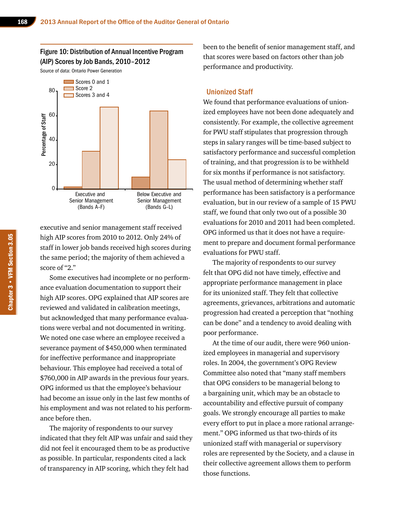Figure 10: Distribution of Annual Incentive Program (AIP) Scores by Job Bands, 2010–2012

Source of data: Ontario Power Generation



executive and senior management staff received high AIP scores from 2010 to 2012. Only 24% of staff in lower job bands received high scores during the same period; the majority of them achieved a score of "2."

Some executives had incomplete or no performance evaluation documentation to support their high AIP scores. OPG explained that AIP scores are reviewed and validated in calibration meetings, but acknowledged that many performance evaluations were verbal and not documented in writing. We noted one case where an employee received a severance payment of \$450,000 when terminated for ineffective performance and inappropriate behaviour. This employee had received a total of \$760,000 in AIP awards in the previous four years. OPG informed us that the employee's behaviour had become an issue only in the last few months of his employment and was not related to his performance before then.

The majority of respondents to our survey indicated that they felt AIP was unfair and said they did not feel it encouraged them to be as productive as possible. In particular, respondents cited a lack of transparency in AIP scoring, which they felt had

been to the benefit of senior management staff, and that scores were based on factors other than job performance and productivity.

#### Unionized Staff

We found that performance evaluations of unionized employees have not been done adequately and consistently. For example, the collective agreement for PWU staff stipulates that progression through steps in salary ranges will be time-based subject to satisfactory performance and successful completion of training, and that progression is to be withheld for six months if performance is not satisfactory. The usual method of determining whether staff performance has been satisfactory is a performance evaluation, but in our review of a sample of 15 PWU staff, we found that only two out of a possible 30 evaluations for 2010 and 2011 had been completed. OPG informed us that it does not have a requirement to prepare and document formal performance evaluations for PWU staff.

The majority of respondents to our survey felt that OPG did not have timely, effective and appropriate performance management in place for its unionized staff. They felt that collective agreements, grievances, arbitrations and automatic progression had created a perception that "nothing can be done" and a tendency to avoid dealing with poor performance.

At the time of our audit, there were 960 unionized employees in managerial and supervisory roles. In 2004, the government's OPG Review Committee also noted that "many staff members that OPG considers to be managerial belong to a bargaining unit, which may be an obstacle to accountability and effective pursuit of company goals. We strongly encourage all parties to make every effort to put in place a more rational arrangement." OPG informed us that two-thirds of its unionized staff with managerial or supervisory roles are represented by the Society, and a clause in their collective agreement allows them to perform those functions.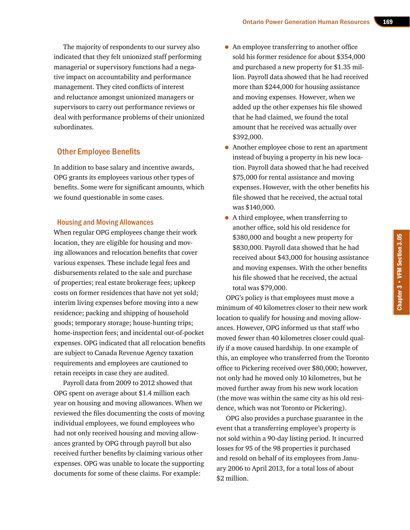The majority of respondents to our survey also indicated that they felt unionized staff performing managerial or supervisory functions had a negative impact on accountability and performance management. They cited conflicts of interest and reluctance amongst unionized managers or supervisors to carry out performance reviews or deal with performance problems of their unionized subordinates.

# Other Employee Benefits

In addition to base salary and incentive awards, OPG grants its employees various other types of benefits. Some were for significant amounts, which we found questionable in some cases.

#### Housing and Moving Allowances

When regular OPG employees change their work location, they are eligible for housing and moving allowances and relocation benefits that cover various expenses. These include legal fees and disbursements related to the sale and purchase of properties; real estate brokerage fees; upkeep costs on former residences that have not yet sold; interim living expenses before moving into a new residence; packing and shipping of household goods; temporary storage; house-hunting trips; home-inspection fees; and incidental out-of-pocket expenses. OPG indicated that all relocation benefits are subject to Canada Revenue Agency taxation requirements and employees are cautioned to retain receipts in case they are audited.

Payroll data from 2009 to 2012 showed that OPG spent on average about \$1.4 million each year on housing and moving allowances. When we reviewed the files documenting the costs of moving individual employees, we found employees who had not only received housing and moving allowances granted by OPG through payroll but also received further benefits by claiming various other expenses. OPG was unable to locate the supporting documents for some of these claims. For example:

- An employee transferring to another office sold his former residence for about \$354,000 and purchased a new property for \$1.35 million. Payroll data showed that he had received more than \$244,000 for housing assistance and moving expenses. However, when we added up the other expenses his file showed that he had claimed, we found the total amount that he received was actually over \$392,000.
- Another employee chose to rent an apartment instead of buying a property in his new location. Payroll data showed that he had received \$75,000 for rental assistance and moving expenses. However, with the other benefits his file showed that he received, the actual total was \$140,000.
- A third employee, when transferring to another office, sold his old residence for \$380,000 and bought a new property for \$830,000. Payroll data showed that he had received about \$43,000 for housing assistance and moving expenses. With the other benefits his file showed that he received, the actual total was \$79,000.

OPG's policy is that employees must move a minimum of 40 kilometres closer to their new work location to qualify for housing and moving allowances. However, OPG informed us that staff who moved fewer than 40 kilometres closer could qualify if a move caused hardship. In one example of this, an employee who transferred from the Toronto office to Pickering received over \$80,000; however, not only had he moved only 10 kilometres, but he moved further away from his new work location (the move was within the same city as his old residence, which was not Toronto or Pickering).

OPG also provides a purchase guarantee in the event that a transferring employee's property is not sold within a 90-day listing period. It incurred losses for 95 of the 98 properties it purchased and resold on behalf of its employees from January 2006 to April 2013, for a total loss of about \$2 million.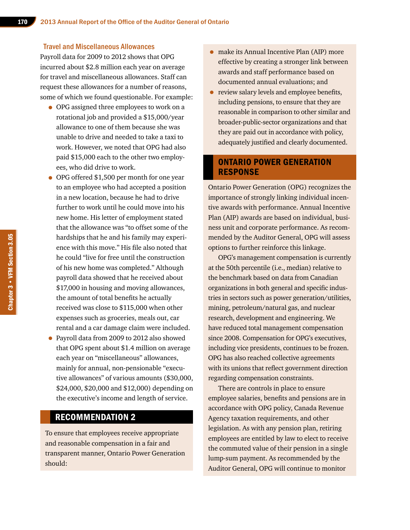#### Travel and Miscellaneous Allowances

Payroll data for 2009 to 2012 shows that OPG incurred about \$2.8 million each year on average for travel and miscellaneous allowances. Staff can request these allowances for a number of reasons, some of which we found questionable. For example:

- OPG assigned three employees to work on a rotational job and provided a \$15,000/year allowance to one of them because she was unable to drive and needed to take a taxi to work. However, we noted that OPG had also paid \$15,000 each to the other two employees, who did drive to work.
- OPG offered \$1,500 per month for one year to an employee who had accepted a position in a new location, because he had to drive further to work until he could move into his new home. His letter of employment stated that the allowance was "to offset some of the hardships that he and his family may experience with this move." His file also noted that he could "live for free until the construction of his new home was completed." Although payroll data showed that he received about \$17,000 in housing and moving allowances, the amount of total benefits he actually received was close to \$115,000 when other expenses such as groceries, meals out, car rental and a car damage claim were included.
- Payroll data from 2009 to 2012 also showed that OPG spent about \$1.4 million on average each year on "miscellaneous" allowances, mainly for annual, non-pensionable "executive allowances" of various amounts (\$30,000, \$24,000, \$20,000 and \$12,000) depending on the executive's income and length of service.

# RECOMMENDATION 2

To ensure that employees receive appropriate and reasonable compensation in a fair and transparent manner, Ontario Power Generation should:

- make its Annual Incentive Plan (AIP) more effective by creating a stronger link between awards and staff performance based on documented annual evaluations; and
- review salary levels and employee benefits, including pensions, to ensure that they are reasonable in comparison to other similar and broader-public-sector organizations and that they are paid out in accordance with policy, adequately justified and clearly documented.

# ONTARIO POWER GENERATION RESPONSE

Ontario Power Generation (OPG) recognizes the importance of strongly linking individual incentive awards with performance. Annual Incentive Plan (AIP) awards are based on individual, business unit and corporate performance. As recommended by the Auditor General, OPG will assess options to further reinforce this linkage.

OPG's management compensation is currently at the 50th percentile (i.e., median) relative to the benchmark based on data from Canadian organizations in both general and specific industries in sectors such as power generation/utilities, mining, petroleum/natural gas, and nuclear research, development and engineering. We have reduced total management compensation since 2008. Compensation for OPG's executives, including vice presidents, continues to be frozen. OPG has also reached collective agreements with its unions that reflect government direction regarding compensation constraints.

There are controls in place to ensure employee salaries, benefits and pensions are in accordance with OPG policy, Canada Revenue Agency taxation requirements, and other legislation. As with any pension plan, retiring employees are entitled by law to elect to receive the commuted value of their pension in a single lump-sum payment. As recommended by the Auditor General, OPG will continue to monitor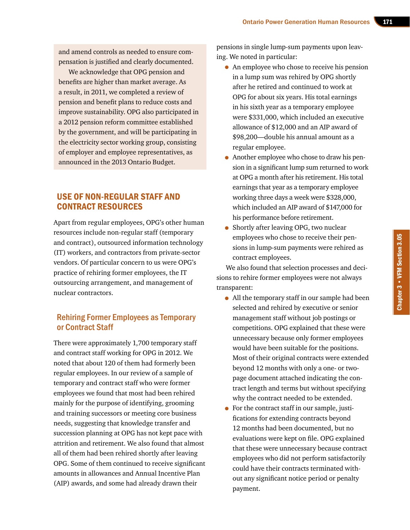and amend controls as needed to ensure compensation is justified and clearly documented.

We acknowledge that OPG pension and benefits are higher than market average. As a result, in 2011, we completed a review of pension and benefit plans to reduce costs and improve sustainability. OPG also participated in a 2012 pension reform committee established by the government, and will be participating in the electricity sector working group, consisting of employer and employee representatives, as announced in the 2013 Ontario Budget.

# USE OF NON-REGULAR STAFF AND CONTRACT RESOURCES

Apart from regular employees, OPG's other human resources include non-regular staff (temporary and contract), outsourced information technology (IT) workers, and contractors from private-sector vendors. Of particular concern to us were OPG's practice of rehiring former employees, the IT outsourcing arrangement, and management of nuclear contractors.

# Rehiring Former Employees as Temporary or Contract Staff

There were approximately 1,700 temporary staff and contract staff working for OPG in 2012. We noted that about 120 of them had formerly been regular employees. In our review of a sample of temporary and contract staff who were former employees we found that most had been rehired mainly for the purpose of identifying, grooming and training successors or meeting core business needs, suggesting that knowledge transfer and succession planning at OPG has not kept pace with attrition and retirement. We also found that almost all of them had been rehired shortly after leaving OPG. Some of them continued to receive significant amounts in allowances and Annual Incentive Plan (AIP) awards, and some had already drawn their

pensions in single lump-sum payments upon leaving. We noted in particular:

- An employee who chose to receive his pension in a lump sum was rehired by OPG shortly after he retired and continued to work at OPG for about six years. His total earnings in his sixth year as a temporary employee were \$331,000, which included an executive allowance of \$12,000 and an AIP award of \$98,200—double his annual amount as a regular employee.
- Another employee who chose to draw his pension in a significant lump sum returned to work at OPG a month after his retirement. His total earnings that year as a temporary employee working three days a week were \$328,000, which included an AIP award of \$147,000 for his performance before retirement.
- Shortly after leaving OPG, two nuclear employees who chose to receive their pensions in lump-sum payments were rehired as contract employees.

We also found that selection processes and decisions to rehire former employees were not always transparent:

- All the temporary staff in our sample had been selected and rehired by executive or senior management staff without job postings or competitions. OPG explained that these were unnecessary because only former employees would have been suitable for the positions. Most of their original contracts were extended beyond 12 months with only a one- or twopage document attached indicating the contract length and terms but without specifying why the contract needed to be extended.
- For the contract staff in our sample, justifications for extending contracts beyond 12 months had been documented, but no evaluations were kept on file. OPG explained that these were unnecessary because contract employees who did not perform satisfactorily could have their contracts terminated without any significant notice period or penalty payment.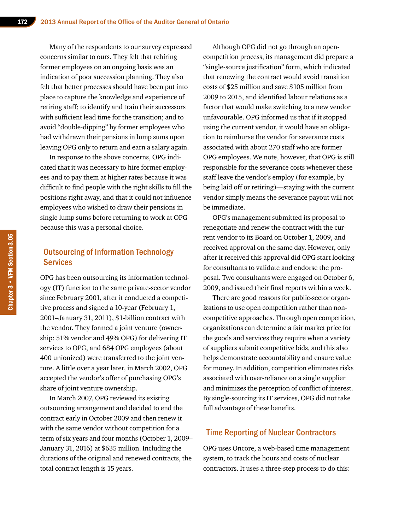Many of the respondents to our survey expressed concerns similar to ours. They felt that rehiring former employees on an ongoing basis was an indication of poor succession planning. They also felt that better processes should have been put into place to capture the knowledge and experience of retiring staff; to identify and train their successors with sufficient lead time for the transition; and to avoid "double-dipping" by former employees who had withdrawn their pensions in lump sums upon leaving OPG only to return and earn a salary again.

In response to the above concerns, OPG indicated that it was necessary to hire former employees and to pay them at higher rates because it was difficult to find people with the right skills to fill the positions right away, and that it could not influence employees who wished to draw their pensions in single lump sums before returning to work at OPG because this was a personal choice.

# Outsourcing of Information Technology **Services**

OPG has been outsourcing its information technology (IT) function to the same private-sector vendor since February 2001, after it conducted a competitive process and signed a 10-year (February 1, 2001–January 31, 2011), \$1-billion contract with the vendor. They formed a joint venture (ownership: 51% vendor and 49% OPG) for delivering IT services to OPG, and 684 OPG employees (about 400 unionized) were transferred to the joint venture. A little over a year later, in March 2002, OPG accepted the vendor's offer of purchasing OPG's share of joint venture ownership.

In March 2007, OPG reviewed its existing outsourcing arrangement and decided to end the contract early in October 2009 and then renew it with the same vendor without competition for a term of six years and four months (October 1, 2009– January 31, 2016) at \$635 million. Including the durations of the original and renewed contracts, the total contract length is 15 years.

Although OPG did not go through an opencompetition process, its management did prepare a "single-source justification" form, which indicated that renewing the contract would avoid transition costs of \$25 million and save \$105 million from 2009 to 2015, and identified labour relations as a factor that would make switching to a new vendor unfavourable. OPG informed us that if it stopped using the current vendor, it would have an obligation to reimburse the vendor for severance costs associated with about 270 staff who are former OPG employees. We note, however, that OPG is still responsible for the severance costs whenever these staff leave the vendor's employ (for example, by being laid off or retiring)—staying with the current vendor simply means the severance payout will not be immediate.

OPG's management submitted its proposal to renegotiate and renew the contract with the current vendor to its Board on October 1, 2009, and received approval on the same day. However, only after it received this approval did OPG start looking for consultants to validate and endorse the proposal. Two consultants were engaged on October 6, 2009, and issued their final reports within a week.

There are good reasons for public-sector organizations to use open competition rather than noncompetitive approaches. Through open competition, organizations can determine a fair market price for the goods and services they require when a variety of suppliers submit competitive bids, and this also helps demonstrate accountability and ensure value for money. In addition, competition eliminates risks associated with over-reliance on a single supplier and minimizes the perception of conflict of interest. By single-sourcing its IT services, OPG did not take full advantage of these benefits.

### Time Reporting of Nuclear Contractors

OPG uses Oncore, a web-based time management system, to track the hours and costs of nuclear contractors. It uses a three-step process to do this: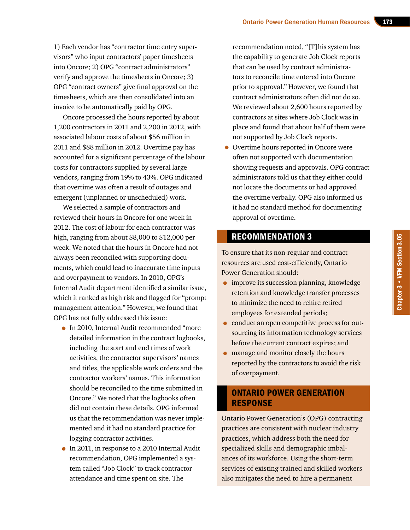1) Each vendor has "contractor time entry supervisors" who input contractors' paper timesheets into Oncore; 2) OPG "contract administrators" verify and approve the timesheets in Oncore; 3) OPG "contract owners" give final approval on the timesheets, which are then consolidated into an invoice to be automatically paid by OPG.

Oncore processed the hours reported by about 1,200 contractors in 2011 and 2,200 in 2012, with associated labour costs of about \$56 million in 2011 and \$88 million in 2012. Overtime pay has accounted for a significant percentage of the labour costs for contractors supplied by several large vendors, ranging from 19% to 43%. OPG indicated that overtime was often a result of outages and emergent (unplanned or unscheduled) work.

We selected a sample of contractors and reviewed their hours in Oncore for one week in 2012. The cost of labour for each contractor was high, ranging from about \$8,000 to \$12,000 per week. We noted that the hours in Oncore had not always been reconciled with supporting documents, which could lead to inaccurate time inputs and overpayment to vendors. In 2010, OPG's Internal Audit department identified a similar issue, which it ranked as high risk and flagged for "prompt management attention." However, we found that OPG has not fully addressed this issue:

- In 2010, Internal Audit recommended "more detailed information in the contract logbooks, including the start and end times of work activities, the contractor supervisors' names and titles, the applicable work orders and the contractor workers' names. This information should be reconciled to the time submitted in Oncore." We noted that the logbooks often did not contain these details. OPG informed us that the recommendation was never implemented and it had no standard practice for logging contractor activities.
- In 2011, in response to a 2010 Internal Audit recommendation, OPG implemented a system called "Job Clock" to track contractor attendance and time spent on site. The

recommendation noted, "[T]his system has the capability to generate Job Clock reports that can be used by contract administrators to reconcile time entered into Oncore prior to approval." However, we found that contract administrators often did not do so. We reviewed about 2,600 hours reported by contractors at sites where Job Clock was in place and found that about half of them were not supported by Job Clock reports.

• Overtime hours reported in Oncore were often not supported with documentation showing requests and approvals. OPG contract administrators told us that they either could not locate the documents or had approved the overtime verbally. OPG also informed us it had no standard method for documenting approval of overtime.

# RECOMMENDATION 3

To ensure that its non-regular and contract resources are used cost-efficiently, Ontario Power Generation should:

- improve its succession planning, knowledge retention and knowledge transfer processes to minimize the need to rehire retired employees for extended periods;
- conduct an open competitive process for outsourcing its information technology services before the current contract expires; and
- manage and monitor closely the hours reported by the contractors to avoid the risk of overpayment.

# ONTARIO POWER GENERATION RESPONSE

Ontario Power Generation's (OPG) contracting practices are consistent with nuclear industry practices, which address both the need for specialized skills and demographic imbalances of its workforce. Using the short-term services of existing trained and skilled workers also mitigates the need to hire a permanent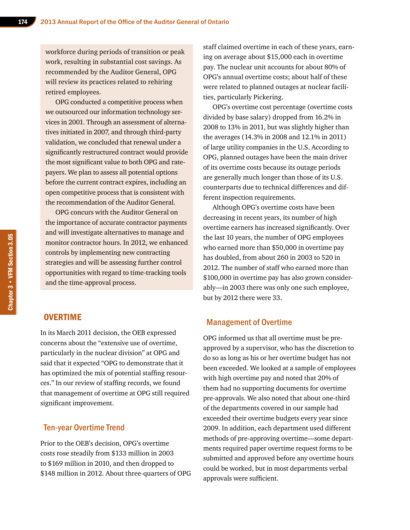workforce during periods of transition or peak work, resulting in substantial cost savings. As recommended by the Auditor General, OPG will review its practices related to rehiring retired employees.

OPG conducted a competitive process when we outsourced our information technology services in 2001. Through an assessment of alternatives initiated in 2007, and through third-party validation, we concluded that renewal under a significantly restructured contract would provide the most significant value to both OPG and ratepayers. We plan to assess all potential options before the current contract expires, including an open competitive process that is consistent with the recommendation of the Auditor General.

OPG concurs with the Auditor General on the importance of accurate contractor payments and will investigate alternatives to manage and monitor contractor hours. In 2012, we enhanced controls by implementing new contracting strategies and will be assessing further control opportunities with regard to time-tracking tools and the time-approval process.

## **OVERTIME**

In its March 2011 decision, the OEB expressed concerns about the "extensive use of overtime, particularly in the nuclear division" at OPG and said that it expected "OPG to demonstrate that it has optimized the mix of potential staffing resources." In our review of staffing records, we found that management of overtime at OPG still required significant improvement.

### Ten-year Overtime Trend

Prior to the OEB's decision, OPG's overtime costs rose steadily from \$133 million in 2003 to \$169 million in 2010, and then dropped to \$148 million in 2012. About three-quarters of OPG staff claimed overtime in each of these years, earning on average about \$15,000 each in overtime pay. The nuclear unit accounts for about 80% of OPG's annual overtime costs; about half of these were related to planned outages at nuclear facilities, particularly Pickering.

OPG's overtime cost percentage (overtime costs divided by base salary) dropped from 16.2% in 2008 to 13% in 2011, but was slightly higher than the averages (14.3% in 2008 and 12.1% in 2011) of large utility companies in the U.S. According to OPG, planned outages have been the main driver of its overtime costs because its outage periods are generally much longer than those of its U.S. counterparts due to technical differences and different inspection requirements.

Although OPG's overtime costs have been decreasing in recent years, its number of high overtime earners has increased significantly. Over the last 10 years, the number of OPG employees who earned more than \$50,000 in overtime pay has doubled, from about 260 in 2003 to 520 in 2012. The number of staff who earned more than \$100,000 in overtime pay has also grown considerably—in 2003 there was only one such employee, but by 2012 there were 33.

### Management of Overtime

OPG informed us that all overtime must be preapproved by a supervisor, who has the discretion to do so as long as his or her overtime budget has not been exceeded. We looked at a sample of employees with high overtime pay and noted that 20% of them had no supporting documents for overtime pre-approvals. We also noted that about one-third of the departments covered in our sample had exceeded their overtime budgets every year since 2009. In addition, each department used different methods of pre-approving overtime—some departments required paper overtime request forms to be submitted and approved before any overtime hours could be worked, but in most departments verbal approvals were sufficient.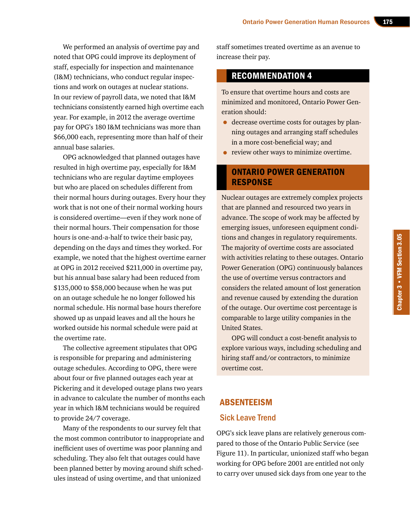We performed an analysis of overtime pay and noted that OPG could improve its deployment of staff, especially for inspection and maintenance (I&M) technicians, who conduct regular inspections and work on outages at nuclear stations. In our review of payroll data, we noted that I&M technicians consistently earned high overtime each year. For example, in 2012 the average overtime pay for OPG's 180 I&M technicians was more than \$66,000 each, representing more than half of their annual base salaries.

OPG acknowledged that planned outages have resulted in high overtime pay, especially for I&M technicians who are regular daytime employees but who are placed on schedules different from their normal hours during outages. Every hour they work that is not one of their normal working hours is considered overtime—even if they work none of their normal hours. Their compensation for those hours is one-and-a-half to twice their basic pay, depending on the days and times they worked. For example, we noted that the highest overtime earner at OPG in 2012 received \$211,000 in overtime pay, but his annual base salary had been reduced from \$135,000 to \$58,000 because when he was put on an outage schedule he no longer followed his normal schedule. His normal base hours therefore showed up as unpaid leaves and all the hours he worked outside his normal schedule were paid at the overtime rate.

The collective agreement stipulates that OPG is responsible for preparing and administering outage schedules. According to OPG, there were about four or five planned outages each year at Pickering and it developed outage plans two years in advance to calculate the number of months each year in which I&M technicians would be required to provide 24/7 coverage.

Many of the respondents to our survey felt that the most common contributor to inappropriate and inefficient uses of overtime was poor planning and scheduling. They also felt that outages could have been planned better by moving around shift schedules instead of using overtime, and that unionized

staff sometimes treated overtime as an avenue to increase their pay.

# RECOMMENDATION 4

To ensure that overtime hours and costs are minimized and monitored, Ontario Power Generation should:

- decrease overtime costs for outages by planning outages and arranging staff schedules in a more cost-beneficial way; and
- review other ways to minimize overtime.

# ONTARIO POWER GENERATION RESPONSE

Nuclear outages are extremely complex projects that are planned and resourced two years in advance. The scope of work may be affected by emerging issues, unforeseen equipment conditions and changes in regulatory requirements. The majority of overtime costs are associated with activities relating to these outages. Ontario Power Generation (OPG) continuously balances the use of overtime versus contractors and considers the related amount of lost generation and revenue caused by extending the duration of the outage. Our overtime cost percentage is comparable to large utility companies in the United States.

OPG will conduct a cost-benefit analysis to explore various ways, including scheduling and hiring staff and/or contractors, to minimize overtime cost.

# ABSENTEEISM Sick Leave Trend

OPG's sick leave plans are relatively generous compared to those of the Ontario Public Service (see Figure 11). In particular, unionized staff who began working for OPG before 2001 are entitled not only to carry over unused sick days from one year to the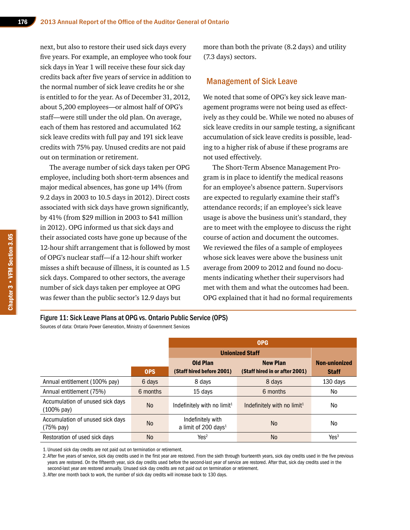next, but also to restore their used sick days every five years. For example, an employee who took four sick days in Year 1 will receive these four sick day credits back after five years of service in addition to the normal number of sick leave credits he or she is entitled to for the year. As of December 31, 2012, about 5,200 employees—or almost half of OPG's staff—were still under the old plan. On average, each of them has restored and accumulated 162 sick leave credits with full pay and 191 sick leave credits with 75% pay. Unused credits are not paid out on termination or retirement.

The average number of sick days taken per OPG employee, including both short-term absences and major medical absences, has gone up 14% (from 9.2 days in 2003 to 10.5 days in 2012). Direct costs associated with sick days have grown significantly, by 41% (from \$29 million in 2003 to \$41 million in 2012). OPG informed us that sick days and their associated costs have gone up because of the 12-hour shift arrangement that is followed by most of OPG's nuclear staff—if a 12-hour shift worker misses a shift because of illness, it is counted as 1.5 sick days. Compared to other sectors, the average number of sick days taken per employee at OPG was fewer than the public sector's 12.9 days but

more than both the private (8.2 days) and utility (7.3 days) sectors.

### Management of Sick Leave

We noted that some of OPG's key sick leave management programs were not being used as effectively as they could be. While we noted no abuses of sick leave credits in our sample testing, a significant accumulation of sick leave credits is possible, leading to a higher risk of abuse if these programs are not used effectively.

The Short-Term Absence Management Program is in place to identify the medical reasons for an employee's absence pattern. Supervisors are expected to regularly examine their staff's attendance records; if an employee's sick leave usage is above the business unit's standard, they are to meet with the employee to discuss the right course of action and document the outcomes. We reviewed the files of a sample of employees whose sick leaves were above the business unit average from 2009 to 2012 and found no documents indicating whether their supervisors had met with them and what the outcomes had been. OPG explained that it had no formal requirements

#### Figure 11: Sick Leave Plans at OPG vs. Ontario Public Service (OPS)

Sources of data: Ontario Power Generation, Ministry of Government Services

|                                                           |            | <b>OPG</b>                                            |                                |                  |  |  |  |
|-----------------------------------------------------------|------------|-------------------------------------------------------|--------------------------------|------------------|--|--|--|
|                                                           |            | <b>Unionized Staff</b>                                |                                |                  |  |  |  |
|                                                           |            | <b>Old Plan</b>                                       | <b>New Plan</b>                | Non-unionized    |  |  |  |
|                                                           | <b>OPS</b> | (Staff hired before 2001)                             | (Staff hired in or after 2001) | <b>Staff</b>     |  |  |  |
| Annual entitlement (100% pay)                             | 6 days     | 8 days                                                | 8 days                         | 130 days         |  |  |  |
| Annual entitlement (75%)                                  | 6 months   | 15 days                                               | 6 months                       | No.              |  |  |  |
| Accumulation of unused sick days<br>$(100\% \text{ pay})$ | <b>No</b>  | Indefinitely with no $limit1$                         | Indefinitely with no $limit1$  | No.              |  |  |  |
| Accumulation of unused sick days<br>(75% pay)             | <b>No</b>  | Indefinitely with<br>a limit of 200 days <sup>1</sup> | N <sub>0</sub>                 | No               |  |  |  |
| Restoration of used sick days                             | No         | Yes <sup>2</sup>                                      | <b>No</b>                      | Yes <sup>3</sup> |  |  |  |

1. Unused sick day credits are not paid out on termination or retirement.

2. After five years of service, sick day credits used in the first year are restored. From the sixth through fourteenth years, sick day credits used in the five previous years are restored. On the fifteenth year, sick day credits used before the second-last year of service are restored. After that, sick day credits used in the second-last year are restored annually. Unused sick day credits are not paid out on termination or retirement.

3. After one month back to work, the number of sick day credits will increase back to 130 days.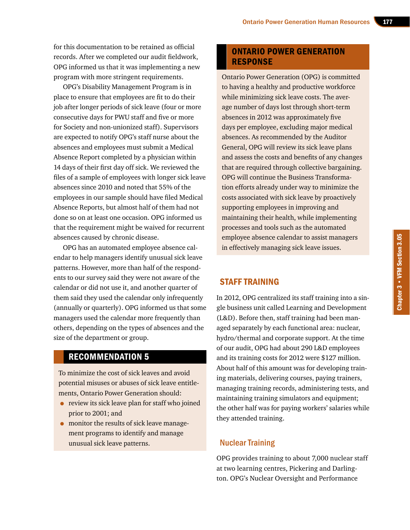for this documentation to be retained as official records. After we completed our audit fieldwork, OPG informed us that it was implementing a new program with more stringent requirements.

OPG's Disability Management Program is in place to ensure that employees are fit to do their job after longer periods of sick leave (four or more consecutive days for PWU staff and five or more for Society and non-unionized staff). Supervisors are expected to notify OPG's staff nurse about the absences and employees must submit a Medical Absence Report completed by a physician within 14 days of their first day off sick. We reviewed the files of a sample of employees with longer sick leave absences since 2010 and noted that 55% of the employees in our sample should have filed Medical Absence Reports, but almost half of them had not done so on at least one occasion. OPG informed us that the requirement might be waived for recurrent absences caused by chronic disease.

OPG has an automated employee absence calendar to help managers identify unusual sick leave patterns. However, more than half of the respondents to our survey said they were not aware of the calendar or did not use it, and another quarter of them said they used the calendar only infrequently (annually or quarterly). OPG informed us that some managers used the calendar more frequently than others, depending on the types of absences and the size of the department or group.

# RECOMMENDATION 5

To minimize the cost of sick leaves and avoid potential misuses or abuses of sick leave entitlements, Ontario Power Generation should:

- review its sick leave plan for staff who joined prior to 2001; and
- monitor the results of sick leave management programs to identify and manage unusual sick leave patterns.

# ONTARIO POWER GENERATION RESPONSE

Ontario Power Generation (OPG) is committed to having a healthy and productive workforce while minimizing sick leave costs. The average number of days lost through short-term absences in 2012 was approximately five days per employee, excluding major medical absences. As recommended by the Auditor General, OPG will review its sick leave plans and assess the costs and benefits of any changes that are required through collective bargaining. OPG will continue the Business Transformation efforts already under way to minimize the costs associated with sick leave by proactively supporting employees in improving and maintaining their health, while implementing processes and tools such as the automated employee absence calendar to assist managers in effectively managing sick leave issues.

# STAFF TRAINING

In 2012, OPG centralized its staff training into a single business unit called Learning and Development (L&D). Before then, staff training had been managed separately by each functional area: nuclear, hydro/thermal and corporate support. At the time of our audit, OPG had about 290 L&D employees and its training costs for 2012 were \$127 million. About half of this amount was for developing training materials, delivering courses, paying trainers, managing training records, administering tests, and maintaining training simulators and equipment; the other half was for paying workers' salaries while they attended training.

# Nuclear Training

OPG provides training to about 7,000 nuclear staff at two learning centres, Pickering and Darlington. OPG's Nuclear Oversight and Performance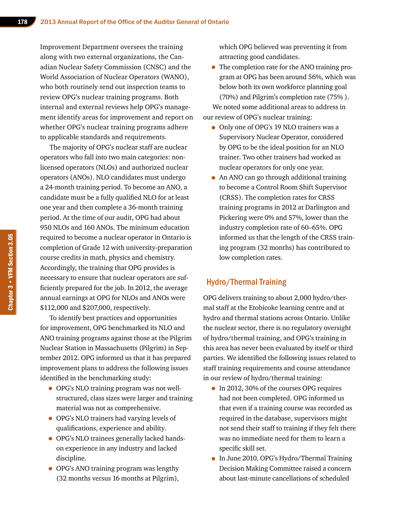Improvement Department oversees the training along with two external organizations, the Canadian Nuclear Safety Commission (CNSC) and the World Association of Nuclear Operators (WANO), who both routinely send out inspection teams to review OPG's nuclear training programs. Both internal and external reviews help OPG's management identify areas for improvement and report on whether OPG's nuclear training programs adhere to applicable standards and requirements.

The majority of OPG's nuclear staff are nuclear operators who fall into two main categories: nonlicensed operators (NLOs) and authorized nuclear operators (ANOs). NLO candidates must undergo a 24-month training period. To become an ANO, a candidate must be a fully qualified NLO for at least one year and then complete a 36-month training period. At the time of our audit, OPG had about 950 NLOs and 160 ANOs. The minimum education required to become a nuclear operator in Ontario is completion of Grade 12 with university-preparation course credits in math, physics and chemistry. Accordingly, the training that OPG provides is necessary to ensure that nuclear operators are sufficiently prepared for the job. In 2012, the average annual earnings at OPG for NLOs and ANOs were \$112,000 and \$207,000, respectively.

To identify best practices and opportunities for improvement, OPG benchmarked its NLO and ANO training programs against those at the Pilgrim Nuclear Station in Massachusetts (Pilgrim) in September 2012. OPG informed us that it has prepared improvement plans to address the following issues identified in the benchmarking study:

- OPG's NLO training program was not wellstructured, class sizes were larger and training material was not as comprehensive.
- OPG's NLO trainers had varying levels of qualifications, experience and ability.
- OPG's NLO trainees generally lacked handson experience in any industry and lacked discipline.
- OPG's ANO training program was lengthy (32 months versus 16 months at Pilgrim),

which OPG believed was preventing it from attracting good candidates.

• The completion rate for the ANO training program at OPG has been around 56%, which was below both its own workforce planning goal (70%) and Pilgrim's completion rate (75% ). We noted some additional areas to address in

our review of OPG's nuclear training:

- Only one of OPG's 19 NLO trainers was a Supervisory Nuclear Operator, considered by OPG to be the ideal position for an NLO trainer. Two other trainers had worked as nuclear operators for only one year.
- An ANO can go through additional training to become a Control Room Shift Supervisor (CRSS). The completion rates for CRSS training programs in 2012 at Darlington and Pickering were 0% and 57%, lower than the industry completion rate of 60–65%. OPG informed us that the length of the CRSS training program (32 months) has contributed to low completion rates.

# Hydro/Thermal Training

OPG delivers training to about 2,000 hydro/thermal staff at the Etobicoke learning centre and at hydro and thermal stations across Ontario. Unlike the nuclear sector, there is no regulatory oversight of hydro/thermal training, and OPG's training in this area has never been evaluated by itself or third parties. We identified the following issues related to staff training requirements and course attendance in our review of hydro/thermal training:

- In 2012, 30% of the courses OPG requires had not been completed. OPG informed us that even if a training course was recorded as required in the database, supervisors might not send their staff to training if they felt there was no immediate need for them to learn a specific skill set.
- In June 2010, OPG's Hydro/Thermal Training Decision Making Committee raised a concern about last-minute cancellations of scheduled